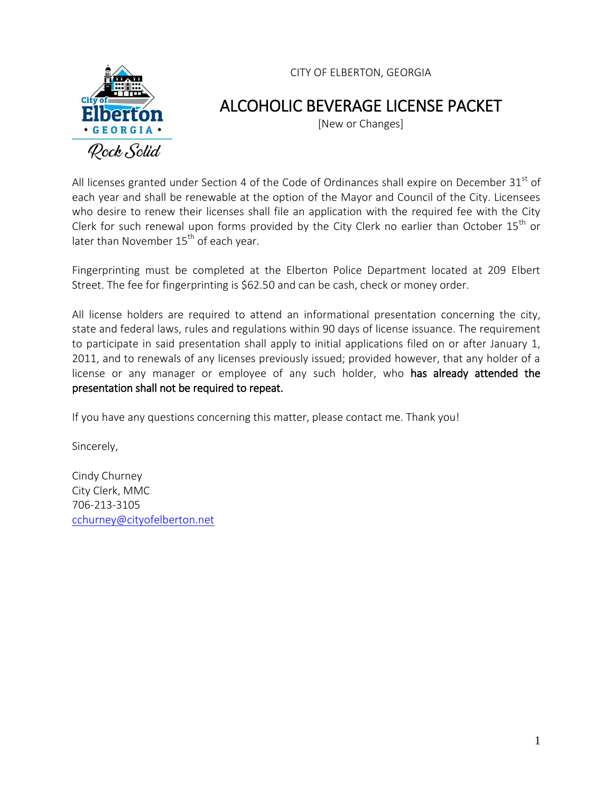



# ALCOHOLIC BEVERAGE LICENSE PACKET

[New or Changes]

All licenses granted under Section 4 of the Code of Ordinances shall expire on December  $31<sup>st</sup>$  of each year and shall be renewable at the option of the Mayor and Council of the City. Licensees who desire to renew their licenses shall file an application with the required fee with the City Clerk for such renewal upon forms provided by the City Clerk no earlier than October  $15<sup>th</sup>$  or later than November  $15<sup>th</sup>$  of each year.

Fingerprinting must be completed at the Elberton Police Department located at 209 Elbert Street. The fee for fingerprinting is \$62.50 and can be cash, check or money order.

All license holders are required to attend an informational presentation concerning the city, state and federal laws, rules and regulations within 90 days of license issuance. The requirement to participate in said presentation shall apply to initial applications filed on or after January 1, 2011, and to renewals of any licenses previously issued; provided however, that any holder of a license or any manager or employee of any such holder, who has already attended the presentation shall not be required to repeat.

If you have any questions concerning this matter, please contact me. Thank you!

Sincerely,

Cindy Churney City Clerk, MMC 706-213-3105 [cchurney@cityofelberton.net](mailto:cchurney@cityofelberton.net)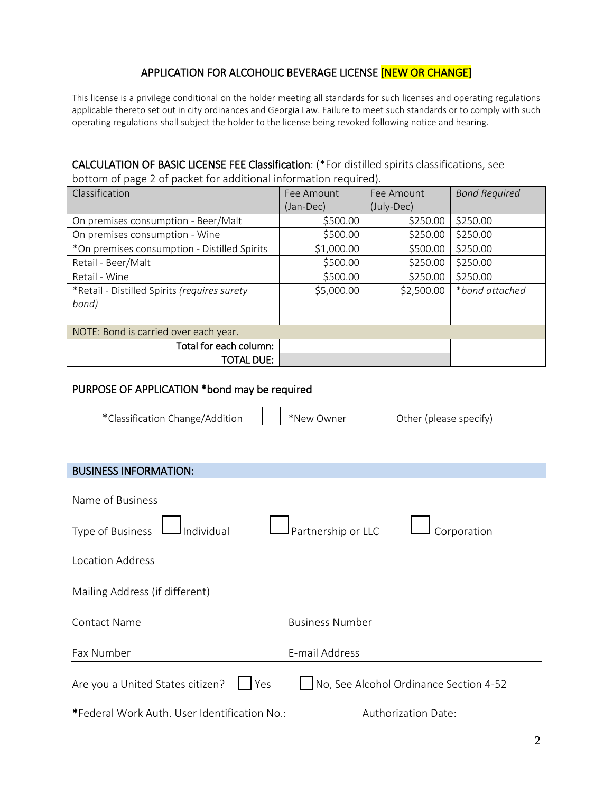## APPLICATION FOR ALCOHOLIC BEVERAGE LICENSE [NEW OR CHANGE]

This license is a privilege conditional on the holder meeting all standards for such licenses and operating regulations applicable thereto set out in city ordinances and Georgia Law. Failure to meet such standards or to comply with such operating regulations shall subject the holder to the license being revoked following notice and hearing.

## CALCULATION OF BASIC LICENSE FEE Classification: (\*For distilled spirits classifications, see

bottom of page 2 of packet for additional information required).

| Classification                               | Fee Amount | Fee Amount | <b>Bond Required</b> |
|----------------------------------------------|------------|------------|----------------------|
|                                              | (Jan-Dec)  | (July-Dec) |                      |
| On premises consumption - Beer/Malt          | \$500.00   | \$250.00   | \$250.00             |
| On premises consumption - Wine               | \$500.00   | \$250.00   | \$250.00             |
| *On premises consumption - Distilled Spirits | \$1,000.00 | \$500.00   | \$250.00             |
| Retail - Beer/Malt                           | \$500.00   | \$250.00   | \$250.00             |
| Retail - Wine                                | \$500.00   | \$250.00   | \$250.00             |
| *Retail - Distilled Spirits (requires surety | \$5,000.00 | \$2,500.00 | *bond attached       |
| bond)                                        |            |            |                      |
|                                              |            |            |                      |
| NOTE: Bond is carried over each year.        |            |            |                      |
| Total for each column:                       |            |            |                      |
| TOTAL DUE:                                   |            |            |                      |

## PURPOSE OF APPLICATION \*bond may be required

| *Classification Change/Addition              | *New Owner<br>Other (please specify)   |
|----------------------------------------------|----------------------------------------|
|                                              |                                        |
| <b>BUSINESS INFORMATION:</b>                 |                                        |
| Name of Business                             |                                        |
| Type of Business<br>Individual               | Partnership or LLC<br>Corporation      |
| <b>Location Address</b>                      |                                        |
| Mailing Address (if different)               |                                        |
| <b>Contact Name</b>                          | <b>Business Number</b>                 |
| Fax Number                                   | E-mail Address                         |
| Are you a United States citizen?<br>Yes      | No, See Alcohol Ordinance Section 4-52 |
| *Federal Work Auth. User Identification No.: | Authorization Date:                    |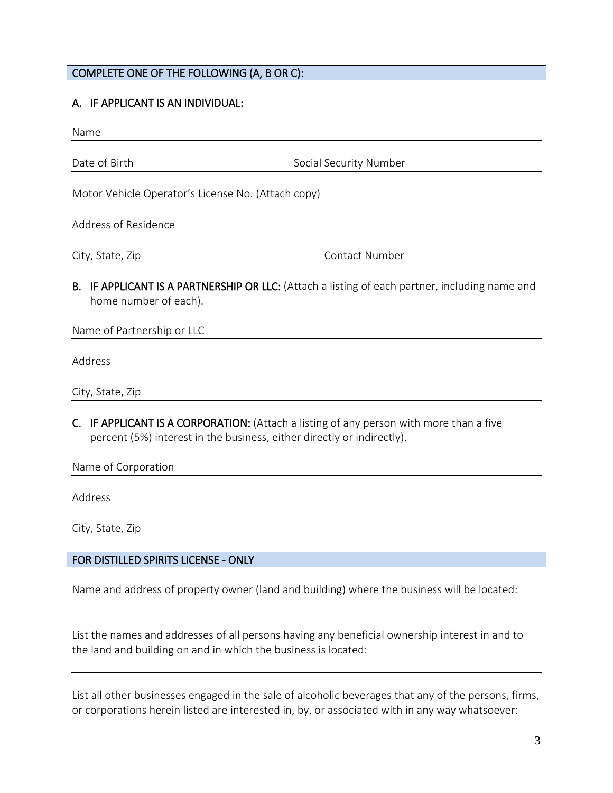## COMPLETE ONE OF THE FOLLOWING (A, B OR C):

## A. IF APPLICANT IS AN INDIVIDUAL:

Name

Date of Birth Social Security Number

Motor Vehicle Operator's License No. (Attach copy)

#### Address of Residence

City, State, Zip Contact Number

B. IF APPLICANT IS A PARTNERSHIP OR LLC: (Attach a listing of each partner, including name and home number of each).

Name of Partnership or LLC

Address

City, State, Zip

C. IF APPLICANT IS A CORPORATION: (Attach a listing of any person with more than a five percent (5%) interest in the business, either directly or indirectly).

Name of Corporation

Address

City, State, Zip

## FOR DISTILLED SPIRITS LICENSE - ONLY

Name and address of property owner (land and building) where the business will be located:

List the names and addresses of all persons having any beneficial ownership interest in and to the land and building on and in which the business is located:

List all other businesses engaged in the sale of alcoholic beverages that any of the persons, firms, or corporations herein listed are interested in, by, or associated with in any way whatsoever: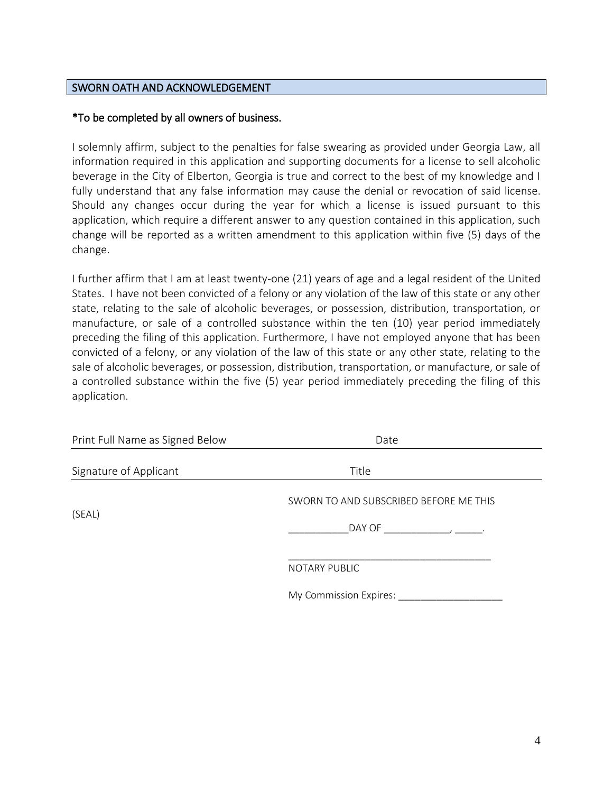## SWORN OATH AND ACKNOWLEDGEMENT

## \*To be completed by all owners of business.

I solemnly affirm, subject to the penalties for false swearing as provided under Georgia Law, all information required in this application and supporting documents for a license to sell alcoholic beverage in the City of Elberton, Georgia is true and correct to the best of my knowledge and I fully understand that any false information may cause the denial or revocation of said license. Should any changes occur during the year for which a license is issued pursuant to this application, which require a different answer to any question contained in this application, such change will be reported as a written amendment to this application within five (5) days of the change.

I further affirm that I am at least twenty-one (21) years of age and a legal resident of the United States. I have not been convicted of a felony or any violation of the law of this state or any other state, relating to the sale of alcoholic beverages, or possession, distribution, transportation, or manufacture, or sale of a controlled substance within the ten (10) year period immediately preceding the filing of this application. Furthermore, I have not employed anyone that has been convicted of a felony, or any violation of the law of this state or any other state, relating to the sale of alcoholic beverages, or possession, distribution, transportation, or manufacture, or sale of a controlled substance within the five (5) year period immediately preceding the filing of this application.

| Print Full Name as Signed Below | Date                                                                     |  |  |
|---------------------------------|--------------------------------------------------------------------------|--|--|
| Signature of Applicant          | Title                                                                    |  |  |
| (SEAL)                          | SWORN TO AND SUBSCRIBED BEFORE ME THIS<br>DAY OF<br>$\sim$ $\sim$ $\sim$ |  |  |
|                                 | NOTARY PUBLIC                                                            |  |  |
|                                 | My Commission Expires:                                                   |  |  |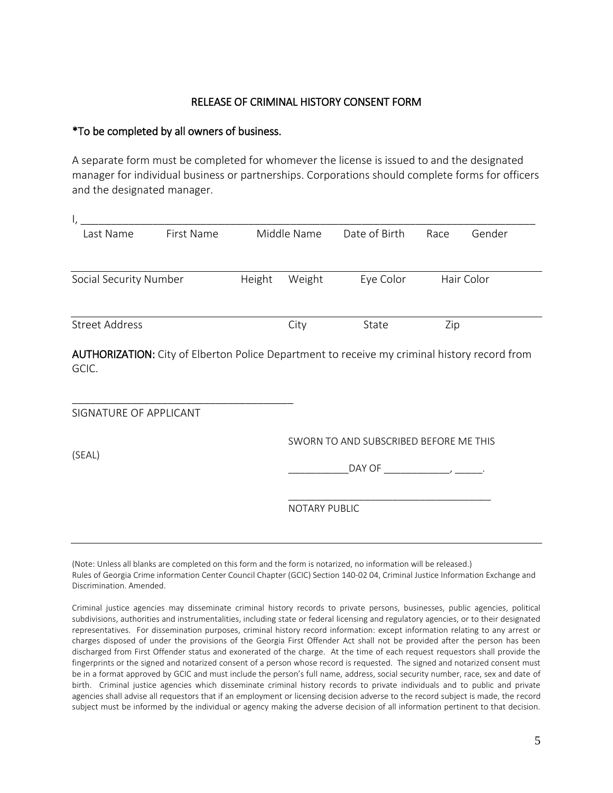#### RELEASE OF CRIMINAL HISTORY CONSENT FORM

#### \*To be completed by all owners of business.

A separate form must be completed for whomever the license is issued to and the designated manager for individual business or partnerships. Corporations should complete forms for officers and the designated manager.

| ۱,                     |            |        |               |                                             |      |            |
|------------------------|------------|--------|---------------|---------------------------------------------|------|------------|
| Last Name              | First Name |        | Middle Name   | Date of Birth                               | Race | Gender     |
|                        |            |        |               |                                             |      |            |
| Social Security Number |            | Height | Weight        | Eye Color                                   |      | Hair Color |
|                        |            |        |               |                                             |      |            |
| <b>Street Address</b>  |            |        | City          | State                                       | Zip  |            |
| SIGNATURE OF APPLICANT |            |        |               |                                             |      |            |
|                        |            |        |               | SWORN TO AND SUBSCRIBED BEFORE ME THIS      |      |            |
| (SEAL)                 |            |        |               | _DAY OF __________________________________. |      |            |
|                        |            |        | NOTARY PUBLIC |                                             |      |            |
|                        |            |        |               |                                             |      |            |

(Note: Unless all blanks are completed on this form and the form is notarized, no information will be released.) Rules of Georgia Crime information Center Council Chapter (GCIC) Section 140-02 04, Criminal Justice Information Exchange and Discrimination. Amended.

Criminal justice agencies may disseminate criminal history records to private persons, businesses, public agencies, political subdivisions, authorities and instrumentalities, including state or federal licensing and regulatory agencies, or to their designated representatives. For dissemination purposes, criminal history record information: except information relating to any arrest or charges disposed of under the provisions of the Georgia First Offender Act shall not be provided after the person has been discharged from First Offender status and exonerated of the charge. At the time of each request requestors shall provide the fingerprints or the signed and notarized consent of a person whose record is requested. The signed and notarized consent must be in a format approved by GCIC and must include the person's full name, address, social security number, race, sex and date of birth. Criminal justice agencies which disseminate criminal history records to private individuals and to public and private agencies shall advise all requestors that if an employment or licensing decision adverse to the record subject is made, the record subject must be informed by the individual or agency making the adverse decision of all information pertinent to that decision.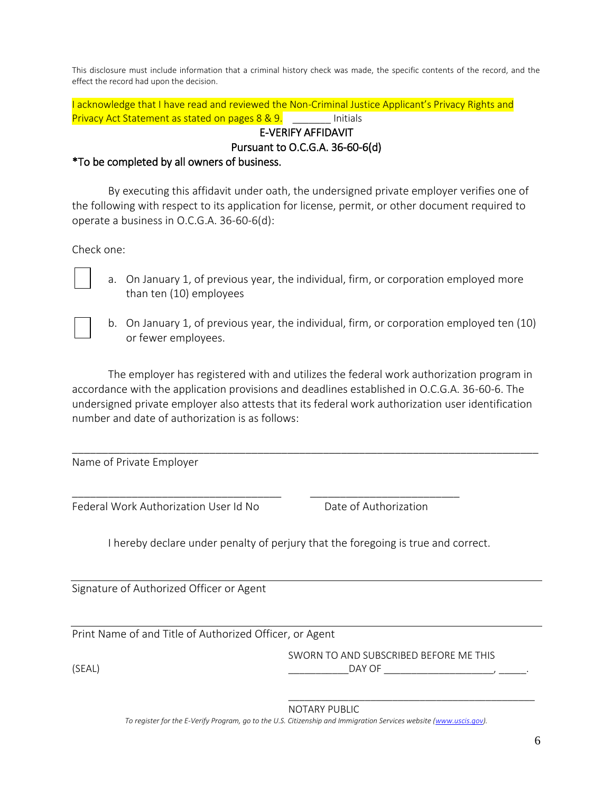This disclosure must include information that a criminal history check was made, the specific contents of the record, and the effect the record had upon the decision.

I acknowledge that I have read and reviewed the Non-Criminal Justice Applicant's Privacy Rights and Privacy Act Statement as stated on pages 8 & 9. East Multials E-VERIFY AFFIDAVIT

Pursuant to O.C.G.A. 36-60-6(d)

## \*To be completed by all owners of business.

By executing this affidavit under oath, the undersigned private employer verifies one of the following with respect to its application for license, permit, or other document required to operate a business in O.C.G.A. 36-60-6(d):

Check one:

- a. On January 1, of previous year, the individual, firm, or corporation employed more than ten (10) employees
- b. On January 1, of previous year, the individual, firm, or corporation employed ten (10) or fewer employees.

The employer has registered with and utilizes the federal work authorization program in accordance with the application provisions and deadlines established in O.C.G.A. 36-60-6. The undersigned private employer also attests that its federal work authorization user identification number and date of authorization is as follows:

\_\_\_\_\_\_\_\_\_\_\_\_\_\_\_\_\_\_\_\_\_\_\_\_\_\_\_\_\_\_\_\_\_\_\_\_\_\_\_\_\_\_\_\_\_\_\_\_\_\_\_\_\_\_\_\_\_\_\_\_\_\_\_\_\_\_\_\_\_\_\_\_\_\_\_\_\_\_

Name of Private Employer

Federal Work Authorization User Id No **Date of Authorization** 

I hereby declare under penalty of perjury that the foregoing is true and correct.

\_\_\_\_\_\_\_\_\_\_\_\_\_\_\_\_\_\_\_\_\_\_\_\_\_\_\_\_\_\_\_\_\_\_\_ \_\_\_\_\_\_\_\_\_\_\_\_\_\_\_\_\_\_\_\_\_\_\_\_\_

Signature of Authorized Officer or Agent

Print Name of and Title of Authorized Officer, or Agent

SWORN TO AND SUBSCRIBED BEFORE ME THIS

(SEAL) \_\_\_\_\_\_\_\_\_\_\_DAY OF \_\_\_\_\_\_\_\_\_\_\_\_\_\_\_\_\_\_\_\_, \_\_\_\_\_.

\_\_\_\_\_\_\_\_\_\_\_\_\_\_\_\_\_\_\_\_\_\_\_\_\_\_\_\_\_\_\_\_\_\_\_\_\_\_\_\_\_\_\_\_\_

NOTARY PUBLIC

To register for the E-Verify Program, go to the U.S. Citizenship and Immigration Services website [\(www.uscis.gov\)](http://www.uscis.gov/).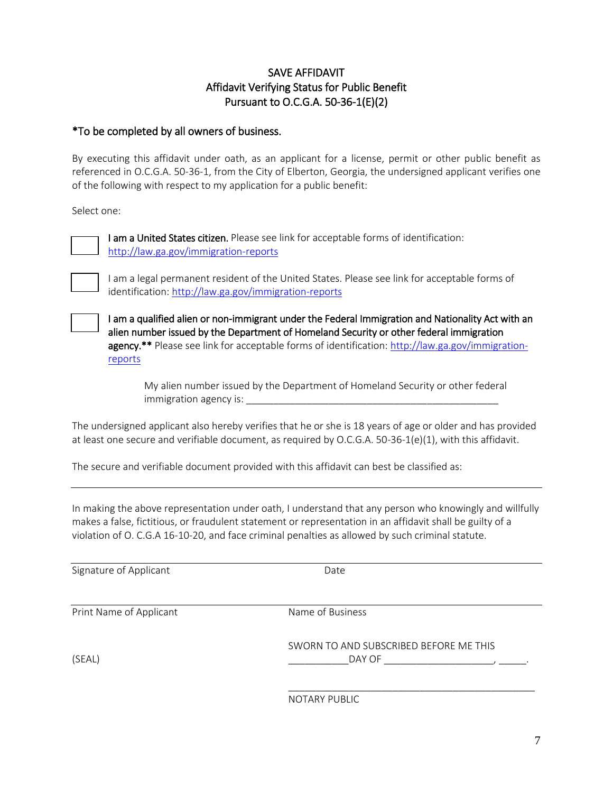## SAVE AFFIDAVIT Affidavit Verifying Status for Public Benefit Pursuant to O.C.G.A. 50-36-1(E)(2)

## \*To be completed by all owners of business.

By executing this affidavit under oath, as an applicant for a license, permit or other public benefit as referenced in O.C.G.A. 50-36-1, from the City of Elberton, Georgia, the undersigned applicant verifies one of the following with respect to my application for a public benefit:

Select one:



I am a United States citizen. Please see link for acceptable forms of identification: <http://law.ga.gov/immigration-reports>



I am a legal permanent resident of the United States. Please see link for acceptable forms of identification:<http://law.ga.gov/immigration-reports>

I am a qualified alien or non-immigrant under the Federal Immigration and Nationality Act with an alien number issued by the Department of Homeland Security or other federal immigration agency.<sup>\*\*</sup> Please see link for acceptable forms of identification: [http://law.ga.gov/immigration](http://law.ga.gov/immigration-reports)[reports](http://law.ga.gov/immigration-reports) 

My alien number issued by the Department of Homeland Security or other federal immigration agency is:  $\blacksquare$ 

The undersigned applicant also hereby verifies that he or she is 18 years of age or older and has provided at least one secure and verifiable document, as required by O.C.G.A. 50-36-1(e)(1), with this affidavit.

The secure and verifiable document provided with this affidavit can best be classified as:

In making the above representation under oath, I understand that any person who knowingly and willfully makes a false, fictitious, or fraudulent statement or representation in an affidavit shall be guilty of a violation of O. C.G.A 16-10-20, and face criminal penalties as allowed by such criminal statute.

Signature of Applicant Date Date

Print Name of Applicant Name of Business

SWORN TO AND SUBSCRIBED BEFORE ME THIS (SEAL) \_\_\_\_\_\_\_\_\_\_\_DAY OF \_\_\_\_\_\_\_\_\_\_\_\_\_\_\_\_\_\_\_\_, \_\_\_\_\_.

\_\_\_\_\_\_\_\_\_\_\_\_\_\_\_\_\_\_\_\_\_\_\_\_\_\_\_\_\_\_\_\_\_\_\_\_\_\_\_\_\_\_\_\_\_

NOTARY PUBLIC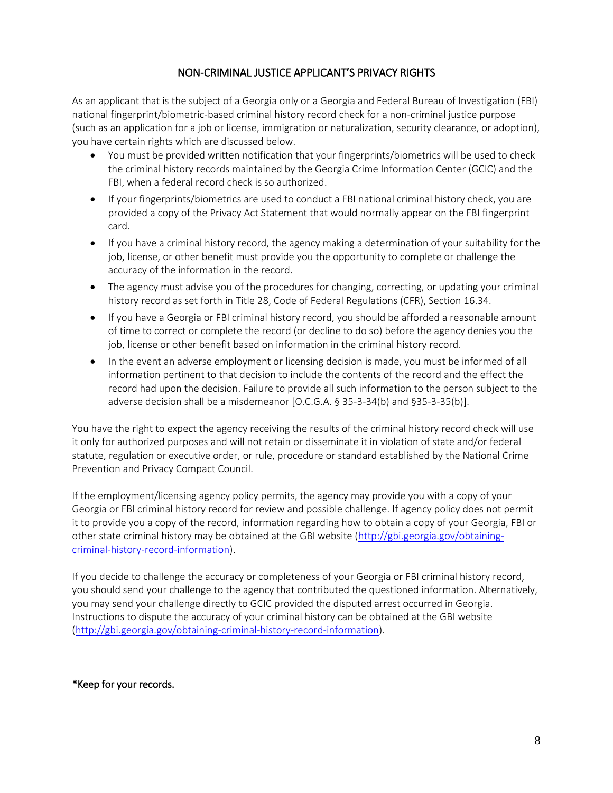## NON-CRIMINAL JUSTICE APPLICANT'S PRIVACY RIGHTS

As an applicant that is the subject of a Georgia only or a Georgia and Federal Bureau of Investigation (FBI) national fingerprint/biometric-based criminal history record check for a non-criminal justice purpose (such as an application for a job or license, immigration or naturalization, security clearance, or adoption), you have certain rights which are discussed below.

- You must be provided written notification that your fingerprints/biometrics will be used to check the criminal history records maintained by the Georgia Crime Information Center (GCIC) and the FBI, when a federal record check is so authorized.
- If your fingerprints/biometrics are used to conduct a FBI national criminal history check, you are provided a copy of the Privacy Act Statement that would normally appear on the FBI fingerprint card.
- If you have a criminal history record, the agency making a determination of your suitability for the job, license, or other benefit must provide you the opportunity to complete or challenge the accuracy of the information in the record.
- The agency must advise you of the procedures for changing, correcting, or updating your criminal history record as set forth in Title 28, Code of Federal Regulations (CFR), Section 16.34.
- If you have a Georgia or FBI criminal history record, you should be afforded a reasonable amount of time to correct or complete the record (or decline to do so) before the agency denies you the job, license or other benefit based on information in the criminal history record.
- In the event an adverse employment or licensing decision is made, you must be informed of all information pertinent to that decision to include the contents of the record and the effect the record had upon the decision. Failure to provide all such information to the person subject to the adverse decision shall be a misdemeanor [O.C.G.A. § 35-3-34(b) and §35-3-35(b)].

You have the right to expect the agency receiving the results of the criminal history record check will use it only for authorized purposes and will not retain or disseminate it in violation of state and/or federal statute, regulation or executive order, or rule, procedure or standard established by the National Crime Prevention and Privacy Compact Council.

If the employment/licensing agency policy permits, the agency may provide you with a copy of your Georgia or FBI criminal history record for review and possible challenge. If agency policy does not permit it to provide you a copy of the record, information regarding how to obtain a copy of your Georgia, FBI or other state criminal history may be obtained at the GBI website [\(http://gbi.georgia.gov/obtaining](http://gbi.georgia.gov/obtaining-criminal-history-record-information)[criminal-history-record-information\)](http://gbi.georgia.gov/obtaining-criminal-history-record-information).

If you decide to challenge the accuracy or completeness of your Georgia or FBI criminal history record, you should send your challenge to the agency that contributed the questioned information. Alternatively, you may send your challenge directly to GCIC provided the disputed arrest occurred in Georgia. Instructions to dispute the accuracy of your criminal history can be obtained at the GBI website [\(http://gbi.georgia.gov/obtaining-criminal-history-record-information\)](http://gbi.georgia.gov/obtaining-criminal-history-record-information).

#### \*Keep for your records.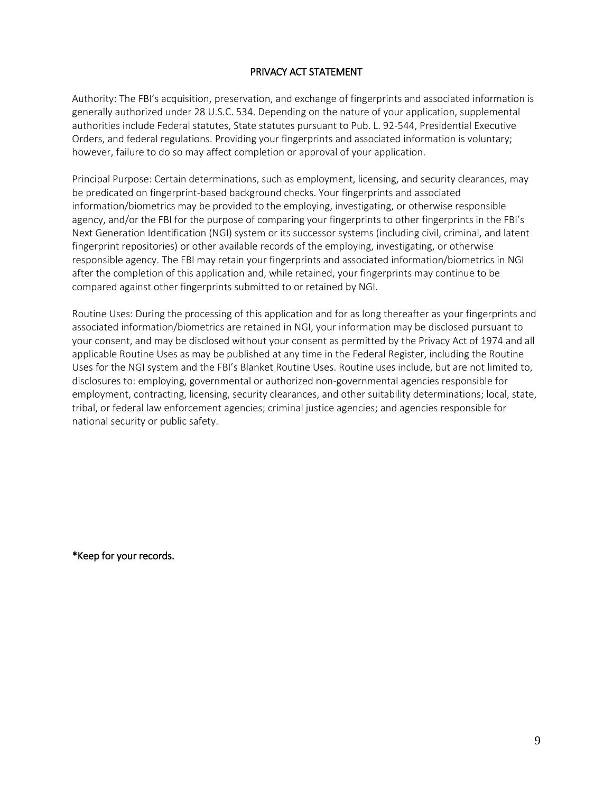## PRIVACY ACT STATEMENT

Authority: The FBI's acquisition, preservation, and exchange of fingerprints and associated information is generally authorized under 28 U.S.C. 534. Depending on the nature of your application, supplemental authorities include Federal statutes, State statutes pursuant to Pub. L. 92-544, Presidential Executive Orders, and federal regulations. Providing your fingerprints and associated information is voluntary; however, failure to do so may affect completion or approval of your application.

Principal Purpose: Certain determinations, such as employment, licensing, and security clearances, may be predicated on fingerprint-based background checks. Your fingerprints and associated information/biometrics may be provided to the employing, investigating, or otherwise responsible agency, and/or the FBI for the purpose of comparing your fingerprints to other fingerprints in the FBI's Next Generation Identification (NGI) system or its successor systems (including civil, criminal, and latent fingerprint repositories) or other available records of the employing, investigating, or otherwise responsible agency. The FBI may retain your fingerprints and associated information/biometrics in NGI after the completion of this application and, while retained, your fingerprints may continue to be compared against other fingerprints submitted to or retained by NGI.

Routine Uses: During the processing of this application and for as long thereafter as your fingerprints and associated information/biometrics are retained in NGI, your information may be disclosed pursuant to your consent, and may be disclosed without your consent as permitted by the Privacy Act of 1974 and all applicable Routine Uses as may be published at any time in the Federal Register, including the Routine Uses for the NGI system and the FBI's Blanket Routine Uses. Routine uses include, but are not limited to, disclosures to: employing, governmental or authorized non-governmental agencies responsible for employment, contracting, licensing, security clearances, and other suitability determinations; local, state, tribal, or federal law enforcement agencies; criminal justice agencies; and agencies responsible for national security or public safety.

\*Keep for your records.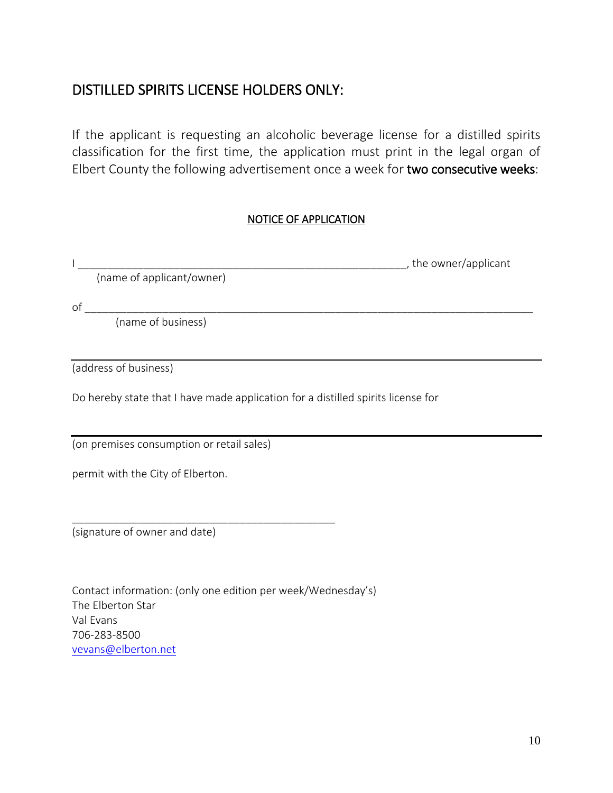## DISTILLED SPIRITS LICENSE HOLDERS ONLY:

If the applicant is requesting an alcoholic beverage license for a distilled spirits classification for the first time, the application must print in the legal organ of Elbert County the following advertisement once a week for two consecutive weeks:

## NOTICE OF APPLICATION

|                                                                                  | the owner/applicant |
|----------------------------------------------------------------------------------|---------------------|
| (name of applicant/owner)                                                        |                     |
| of                                                                               |                     |
| (name of business)                                                               |                     |
|                                                                                  |                     |
| (address of business)                                                            |                     |
| Do hereby state that I have made application for a distilled spirits license for |                     |
| (on premises consumption or retail sales)                                        |                     |
| permit with the City of Elberton.                                                |                     |
|                                                                                  |                     |
| (signature of owner and date)                                                    |                     |
|                                                                                  |                     |

Contact information: (only one edition per week/Wednesday's) The Elberton Star Val Evans 706-283-8500 [vevans@elberton.net](mailto:vevans@elberton.net)